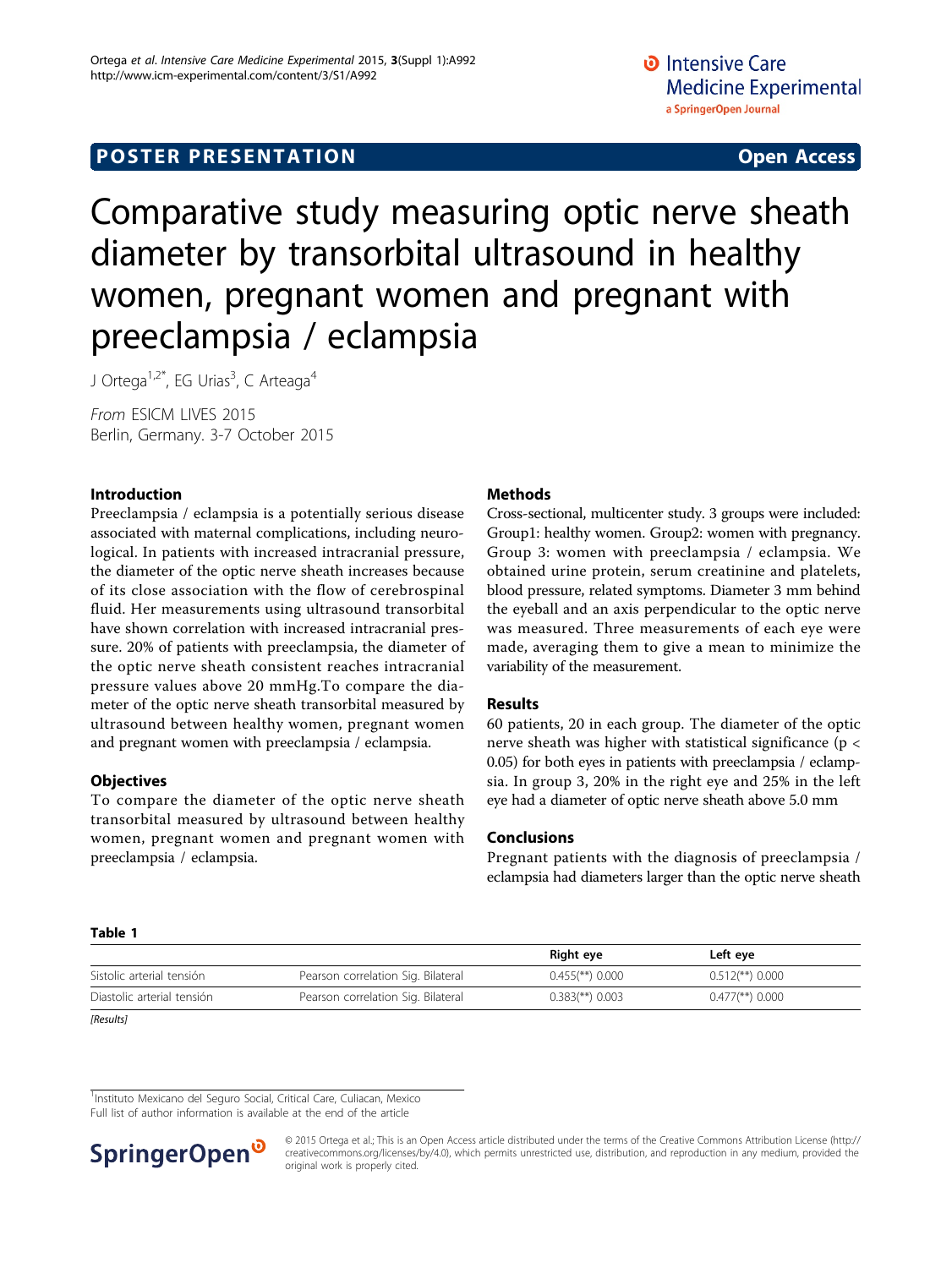# Comparative study measuring optic nerve sheath diameter by transorbital ultrasound in healthy women, pregnant women and pregnant with preeclampsia / eclampsia

J Ortega<sup>1,2\*</sup>, EG Urias<sup>3</sup>, C Arteaga<sup>4</sup>

From ESICM LIVES 2015 Berlin, Germany. 3-7 October 2015

# Introduction

Preeclampsia / eclampsia is a potentially serious disease associated with maternal complications, including neurological. In patients with increased intracranial pressure, the diameter of the optic nerve sheath increases because of its close association with the flow of cerebrospinal fluid. Her measurements using ultrasound transorbital have shown correlation with increased intracranial pressure. 20% of patients with preeclampsia, the diameter of the optic nerve sheath consistent reaches intracranial pressure values above 20 mmHg.To compare the diameter of the optic nerve sheath transorbital measured by ultrasound between healthy women, pregnant women and pregnant women with preeclampsia / eclampsia.

# **Objectives**

To compare the diameter of the optic nerve sheath transorbital measured by ultrasound between healthy women, pregnant women and pregnant women with preeclampsia / eclampsia.

# Methods

Cross-sectional, multicenter study. 3 groups were included: Group1: healthy women. Group2: women with pregnancy. Group 3: women with preeclampsia / eclampsia. We obtained urine protein, serum creatinine and platelets, blood pressure, related symptoms. Diameter 3 mm behind the eyeball and an axis perpendicular to the optic nerve was measured. Three measurements of each eye were made, averaging them to give a mean to minimize the variability of the measurement.

# Results

60 patients, 20 in each group. The diameter of the optic nerve sheath was higher with statistical significance (p < 0.05) for both eyes in patients with preeclampsia / eclampsia. In group 3, 20% in the right eye and 25% in the left eye had a diameter of optic nerve sheath above 5.0 mm

# Conclusions

Pregnant patients with the diagnosis of preeclampsia / eclampsia had diameters larger than the optic nerve sheath

### Table 1

|                            |                                    | Right eye                       | Left eye                        |
|----------------------------|------------------------------------|---------------------------------|---------------------------------|
| Sistolic arterial tensión  | Pearson correlation Sig. Bilateral | $0.455$ <sup>(**)</sup> $0.000$ | $0.512$ <sup>**</sup> $)$ 0.000 |
| Diastolic arterial tensión | Pearson correlation Sig. Bilateral | $0.383$ <sup>**</sup> $)$ 0.003 | $0.477$ <sup>**</sup> $)$ 0.000 |

**[Results**]

<sup>1</sup>Instituto Mexicano del Seguro Social, Critical Care, Culiacan, Mexico

Full list of author information is available at the end of the article



© 2015 Ortega et al.; This is an Open Access article distributed under the terms of the Creative Commons Attribution License [\(http://](http://creativecommons.org/licenses/by/4.0) [creativecommons.org/licenses/by/4.0](http://creativecommons.org/licenses/by/4.0)), which permits unrestricted use, distribution, and reproduction in any medium, provided the original work is properly cited.